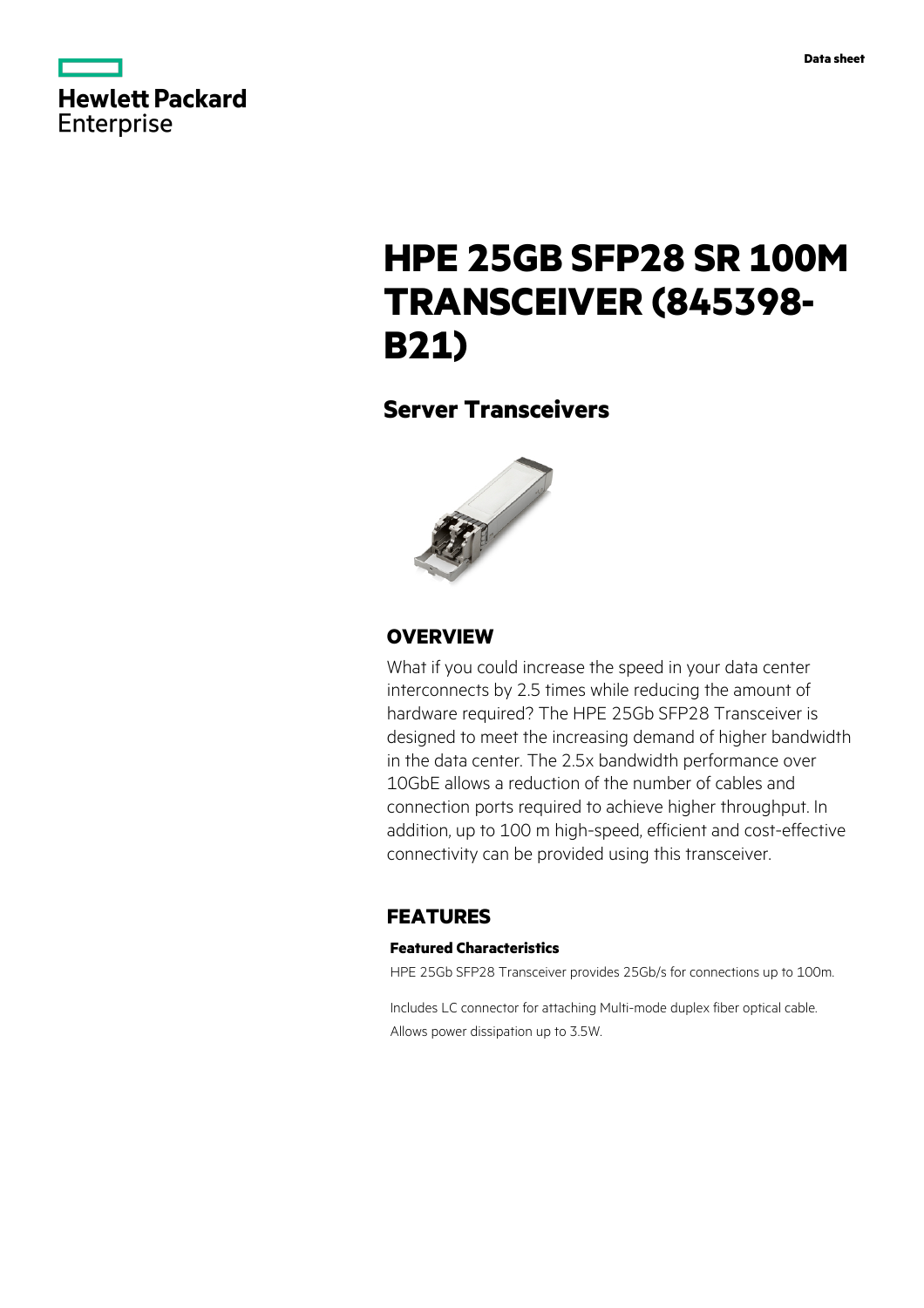

# **HPE 25GB SFP28 SR 100M TRANSCEIVER (845398- B21)**

## **Server Transceivers**



### **OVERVIEW**

What if you could increase the speed in your data center interconnects by 2.5 times while reducing the amount of hardware required? The HPE 25Gb SFP28 Transceiver is designed to meet the increasing demand of higher bandwidth in the data center. The 2.5x bandwidth performance over 10GbE allows a reduction of the number of cables and connection ports required to achieve higher throughput. In addition, up to 100 m high-speed, efficient and cost-effective connectivity can be provided using this transceiver.

### **FEATURES**

### **Featured Characteristics**

HPE 25Gb SFP28 Transceiver provides 25Gb/s for connections up to 100m.

Includes LC connector for attaching Multi-mode duplex fiber optical cable. Allows power dissipation up to 3.5W.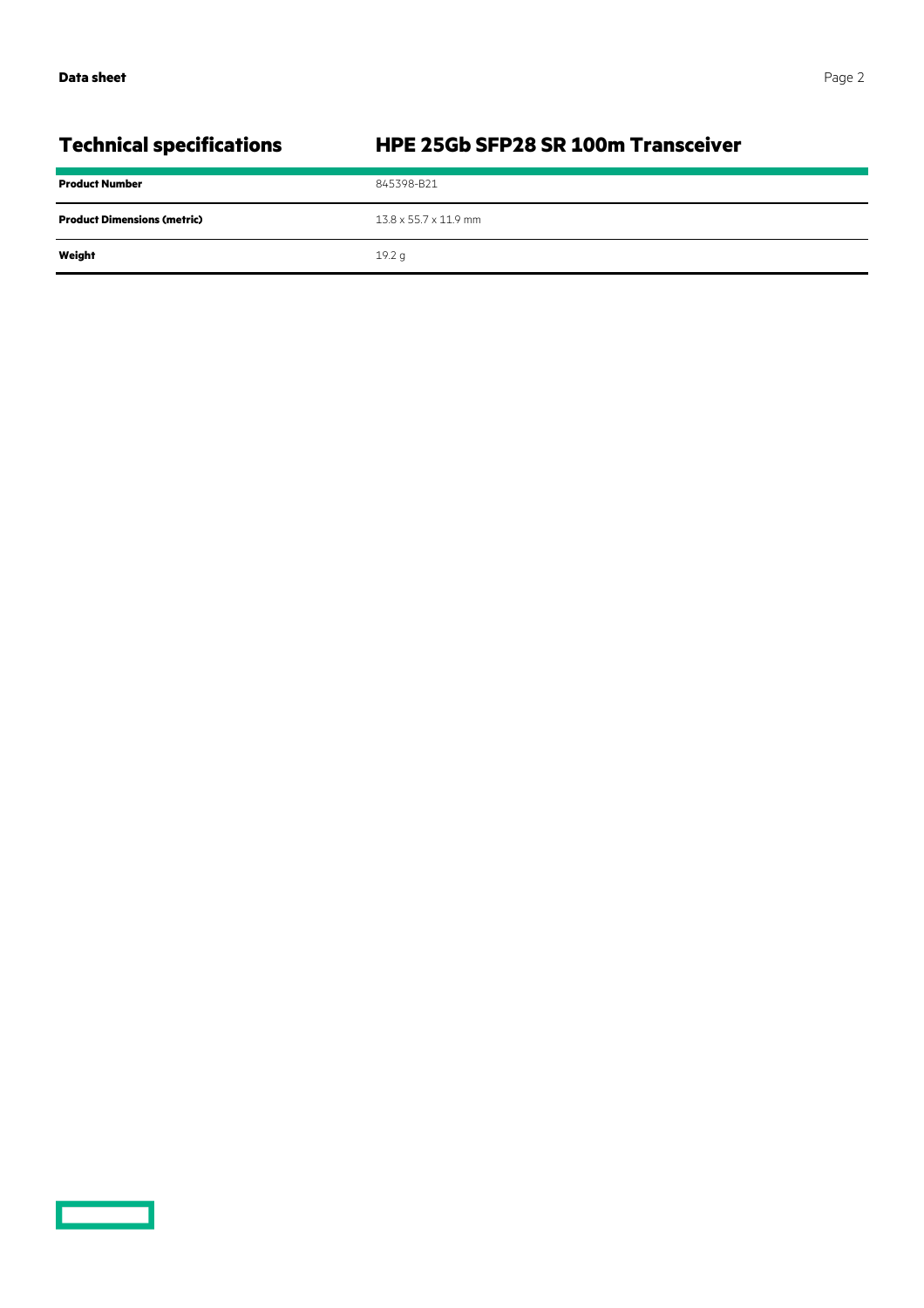**COMPUTE** 

| <b>Technical specifications</b>    | HPE 25Gb SFP28 SR 100m Transceiver |
|------------------------------------|------------------------------------|
| <b>Product Number</b>              | 845398-B21                         |
| <b>Product Dimensions (metric)</b> | $13.8 \times 55.7 \times 11.9$ mm  |
| Weight                             | 19.2 <sub>q</sub>                  |
|                                    |                                    |

## **Technical specifications HPE 25Gb SFP28 SR 100m Transceiver**